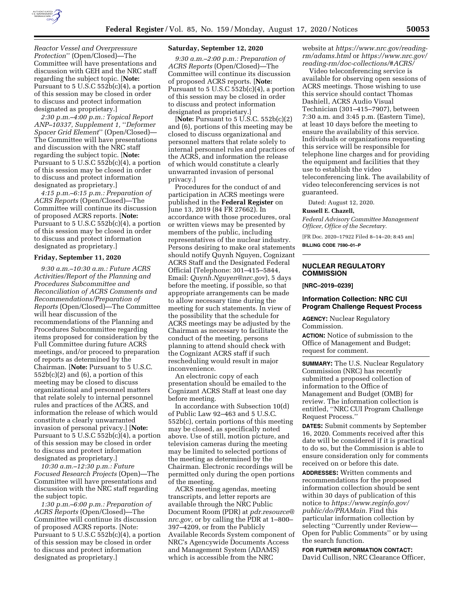

*Reactor Vessel and Overpressure Protection*'' (Open/Closed)—The Committee will have presentations and discussion with GEH and the NRC staff regarding the subject topic. [**Note:**  Pursuant to 5 U.S.C 552b(c)(4), a portion of this session may be closed in order to discuss and protect information designated as proprietary.]

*2:30 p.m.–4:00 p.m.: Topical Report ANP–10337, Supplement 1,* ''*Deformer Spacer Grid Element*'' (Open/Closed)— The Committee will have presentations and discussion with the NRC staff regarding the subject topic. [**Note:**  Pursuant to 5 U.S.C 552b(c)(4), a portion of this session may be closed in order to discuss and protect information designated as proprietary.]

*4:15 p.m.–6:15 p.m.: Preparation of ACRS Reports* (Open/Closed)—The Committee will continue its discussion of proposed ACRS reports. [**Note:**  Pursuant to 5 U.S.C  $552b(c)(4)$ , a portion of this session may be closed in order to discuss and protect information designated as proprietary.]

#### **Friday, September 11, 2020**

*9:30 a.m.–10:30 a.m.: Future ACRS Activities/Report of the Planning and Procedures Subcommittee and Reconciliation of ACRS Comments and Recommendations/Preparation of Reports* (Open/Closed)—The Committee will hear discussion of the recommendations of the Planning and Procedures Subcommittee regarding items proposed for consideration by the Full Committee during future ACRS meetings, and/or proceed to preparation of reports as determined by the Chairman. [**Note:** Pursuant to 5 U.S.C.  $552b(c)(2)$  and  $(6)$ , a portion of this meeting may be closed to discuss organizational and personnel matters that relate solely to internal personnel rules and practices of the ACRS, and information the release of which would constitute a clearly unwarranted invasion of personal privacy.] [**Note:**  Pursuant to 5 U.S.C  $552b(c)(4)$ , a portion of this session may be closed in order to discuss and protect information designated as proprietary.]

*10:30 a.m.–12:30 p.m.: Future Focused Research Projects* (Open)—The Committee will have presentations and discussion with the NRC staff regarding the subject topic.

*1:30 p.m.–6:00 p.m.: Preparation of ACRS Reports* (Open/Closed)—The Committee will continue its discussion of proposed ACRS reports. [Note: Pursuant to 5 U.S.C  $552b(c)(4)$ , a portion of this session may be closed in order to discuss and protect information designated as proprietary.]

### **Saturday, September 12, 2020**

*9:30 a.m.–2:00 p.m.: Preparation of ACRS Reports* (Open/Closed)—The Committee will continue its discussion of proposed ACRS reports. [**Note:**  Pursuant to 5 U.S.C 552b(c)(4), a portion of this session may be closed in order to discuss and protect information designated as proprietary.]

[**Note:** Pursuant to 5 U.S.C. 552b(c)(2) and (6), portions of this meeting may be closed to discuss organizational and personnel matters that relate solely to internal personnel rules and practices of the ACRS, and information the release of which would constitute a clearly unwarranted invasion of personal privacy.]

Procedures for the conduct of and participation in ACRS meetings were published in the **Federal Register** on June 13, 2019 (84 FR 27662). In accordance with those procedures, oral or written views may be presented by members of the public, including representatives of the nuclear industry. Persons desiring to make oral statements should notify Quynh Nguyen, Cognizant ACRS Staff and the Designated Federal Official (Telephone: 301–415–5844, Email: *[Quynh.Nguyen@nrc.gov](mailto:Quynh.Nguyen@nrc.gov)*), 5 days before the meeting, if possible, so that appropriate arrangements can be made to allow necessary time during the meeting for such statements. In view of the possibility that the schedule for ACRS meetings may be adjusted by the Chairman as necessary to facilitate the conduct of the meeting, persons planning to attend should check with the Cognizant ACRS staff if such rescheduling would result in major inconvenience.

An electronic copy of each presentation should be emailed to the Cognizant ACRS Staff at least one day before meeting.

In accordance with Subsection 10(d) of Public Law 92–463 and 5 U.S.C. 552b(c), certain portions of this meeting may be closed, as specifically noted above. Use of still, motion picture, and television cameras during the meeting may be limited to selected portions of the meeting as determined by the Chairman. Electronic recordings will be permitted only during the open portions of the meeting.

ACRS meeting agendas, meeting transcripts, and letter reports are available through the NRC Public Document Room (PDR) at *[pdr.resource@](mailto:pdr.resource@nrc.gov) [nrc.gov,](mailto:pdr.resource@nrc.gov)* or by calling the PDR at 1–800– 397–4209, or from the Publicly Available Records System component of NRC's Agencywide Documents Access and Management System (ADAMS) which is accessible from the NRC

website at *[https://www.nrc.gov/reading](https://www.nrc.gov/reading-rm/adams.html)[rm/adams.html](https://www.nrc.gov/reading-rm/adams.html)* or *[https://www.nrc.gov/](https://www.nrc.gov/reading-rm/doc-collections/#ACRS/)  [reading-rm/doc-collections/#ACRS/](https://www.nrc.gov/reading-rm/doc-collections/#ACRS/)* 

Video teleconferencing service is available for observing open sessions of ACRS meetings. Those wishing to use this service should contact Thomas Dashiell, ACRS Audio Visual Technician (301–415–7907), between 7:30 a.m. and 3:45 p.m. (Eastern Time), at least 10 days before the meeting to ensure the availability of this service. Individuals or organizations requesting this service will be responsible for telephone line charges and for providing the equipment and facilities that they use to establish the video teleconferencing link. The availability of video teleconferencing services is not guaranteed.

Dated: August 12, 2020.

### **Russell E. Chazell,**

*Federal Advisory Committee Management Officer, Office of the Secretary.* 

[FR Doc. 2020–17922 Filed 8–14–20; 8:45 am] **BILLING CODE 7590–01–P** 

# **NUCLEAR REGULATORY COMMISSION**

**[NRC–2019–0239]** 

### **Information Collection: NRC CUI Program Challenge Request Process**

**AGENCY:** Nuclear Regulatory Commission.

**ACTION:** Notice of submission to the Office of Management and Budget; request for comment.

**SUMMARY:** The U.S. Nuclear Regulatory Commission (NRC) has recently submitted a proposed collection of information to the Office of Management and Budget (OMB) for review. The information collection is entitled, ''NRC CUI Program Challenge Request Process.''

**DATES:** Submit comments by September 16, 2020. Comments received after this date will be considered if it is practical to do so, but the Commission is able to ensure consideration only for comments received on or before this date.

**ADDRESSES:** Written comments and recommendations for the proposed information collection should be sent within 30 days of publication of this notice to *[https://www.reginfo.gov/](https://www.reginfo.gov/public/do/PRAMain)  [public/do/PRAMain.](https://www.reginfo.gov/public/do/PRAMain)* Find this particular information collection by selecting ''Currently under Review— Open for Public Comments'' or by using the search function.

**FOR FURTHER INFORMATION CONTACT:**  David Cullison, NRC Clearance Officer,